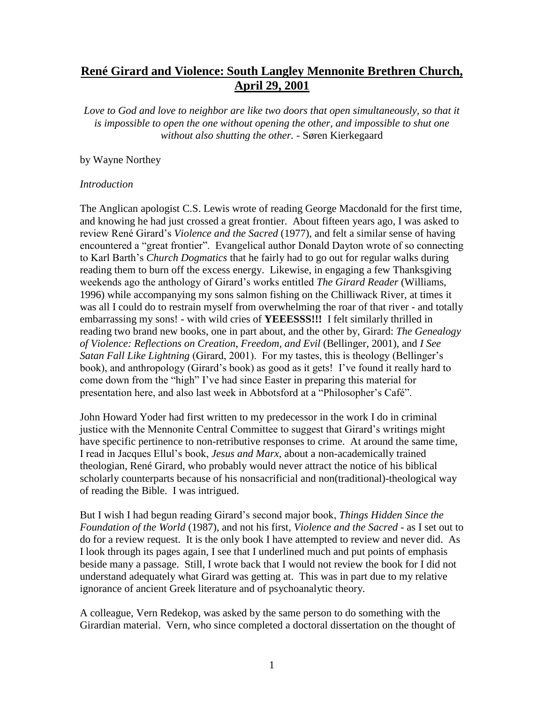# **René Girard and Violence: South Langley Mennonite Brethren Church, April 29, 2001**

Love to God and love to neighbor are like two doors that open simultaneously, so that it *is impossible to open the one without opening the other, and impossible to shut one without also shutting the other.* - Søren Kierkegaard

by Wayne Northey

#### *Introduction*

The Anglican apologist C.S. Lewis wrote of reading George Macdonald for the first time, and knowing he had just crossed a great frontier. About fifteen years ago, I was asked to review René Girard's *Violence and the Sacred* (1977), and felt a similar sense of having encountered a "great frontier". Evangelical author Donald Dayton wrote of so connecting to Karl Barth's *Church Dogmatics* that he fairly had to go out for regular walks during reading them to burn off the excess energy. Likewise, in engaging a few Thanksgiving weekends ago the anthology of Girard's works entitled *The Girard Reader* (Williams, 1996) while accompanying my sons salmon fishing on the Chilliwack River, at times it was all I could do to restrain myself from overwhelming the roar of that river - and totally embarrassing my sons! - with wild cries of **YEEESSS!!!** I felt similarly thrilled in reading two brand new books, one in part about, and the other by, Girard: *The Genealogy of Violence: Reflections on Creation*, *Freedom, and Evil* (Bellinger, 2001), and *I See Satan Fall Like Lightning* (Girard, 2001). For my tastes, this is theology (Bellinger's book), and anthropology (Girard's book) as good as it gets! I've found it really hard to come down from the "high" I've had since Easter in preparing this material for presentation here, and also last week in Abbotsford at a "Philosopher's Café".

John Howard Yoder had first written to my predecessor in the work I do in criminal justice with the Mennonite Central Committee to suggest that Girard's writings might have specific pertinence to non-retributive responses to crime. At around the same time, I read in Jacques Ellul's book, *Jesus and Marx*, about a non-academically trained theologian, René Girard, who probably would never attract the notice of his biblical scholarly counterparts because of his nonsacrificial and non(traditional)-theological way of reading the Bible. I was intrigued.

But I wish I had begun reading Girard's second major book, *Things Hidden Since the Foundation of the World* (1987), and not his first, *Violence and the Sacred* - as I set out to do for a review request. It is the only book I have attempted to review and never did. As I look through its pages again, I see that I underlined much and put points of emphasis beside many a passage. Still, I wrote back that I would not review the book for I did not understand adequately what Girard was getting at. This was in part due to my relative ignorance of ancient Greek literature and of psychoanalytic theory.

A colleague, Vern Redekop, was asked by the same person to do something with the Girardian material. Vern, who since completed a doctoral dissertation on the thought of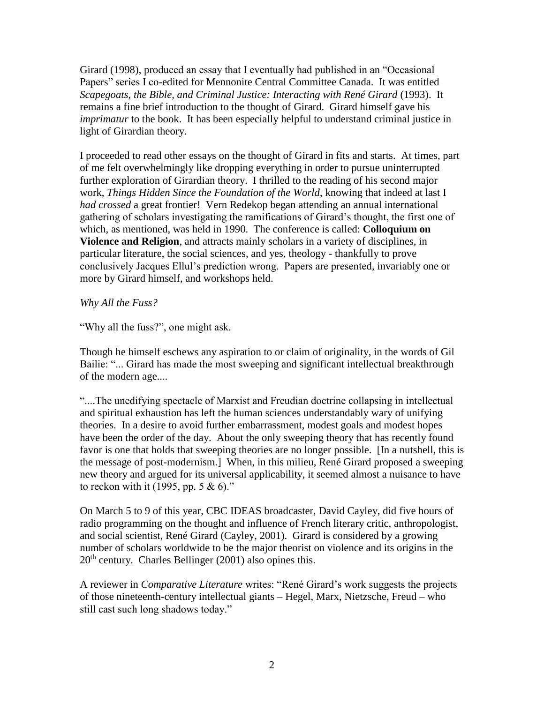Girard (1998), produced an essay that I eventually had published in an "Occasional Papers" series I co-edited for Mennonite Central Committee Canada. It was entitled *Scapegoats, the Bible, and Criminal Justice: Interacting with René Girard* (1993). It remains a fine brief introduction to the thought of Girard. Girard himself gave his *imprimatur* to the book. It has been especially helpful to understand criminal justice in light of Girardian theory.

I proceeded to read other essays on the thought of Girard in fits and starts. At times, part of me felt overwhelmingly like dropping everything in order to pursue uninterrupted further exploration of Girardian theory. I thrilled to the reading of his second major work, *Things Hidden Since the Foundation of the World*, knowing that indeed at last I *had crossed* a great frontier! Vern Redekop began attending an annual international gathering of scholars investigating the ramifications of Girard's thought, the first one of which, as mentioned, was held in 1990. The conference is called: **Colloquium on Violence and Religion**, and attracts mainly scholars in a variety of disciplines, in particular literature, the social sciences, and yes, theology - thankfully to prove conclusively Jacques Ellul's prediction wrong. Papers are presented, invariably one or more by Girard himself, and workshops held.

#### *Why All the Fuss?*

"Why all the fuss?", one might ask.

Though he himself eschews any aspiration to or claim of originality, in the words of Gil Bailie: "... Girard has made the most sweeping and significant intellectual breakthrough of the modern age....

"....The unedifying spectacle of Marxist and Freudian doctrine collapsing in intellectual and spiritual exhaustion has left the human sciences understandably wary of unifying theories. In a desire to avoid further embarrassment, modest goals and modest hopes have been the order of the day. About the only sweeping theory that has recently found favor is one that holds that sweeping theories are no longer possible. [In a nutshell, this is the message of post-modernism.] When, in this milieu, René Girard proposed a sweeping new theory and argued for its universal applicability, it seemed almost a nuisance to have to reckon with it (1995, pp. 5  $\&$  6)."

On March 5 to 9 of this year, CBC IDEAS broadcaster, David Cayley, did five hours of radio programming on the thought and influence of French literary critic, anthropologist, and social scientist, René Girard (Cayley, 2001). Girard is considered by a growing number of scholars worldwide to be the major theorist on violence and its origins in the  $20<sup>th</sup>$  century. Charles Bellinger (2001) also opines this.

A reviewer in *Comparative Literature* writes: "René Girard's work suggests the projects of those nineteenth-century intellectual giants – Hegel, Marx, Nietzsche, Freud – who still cast such long shadows today."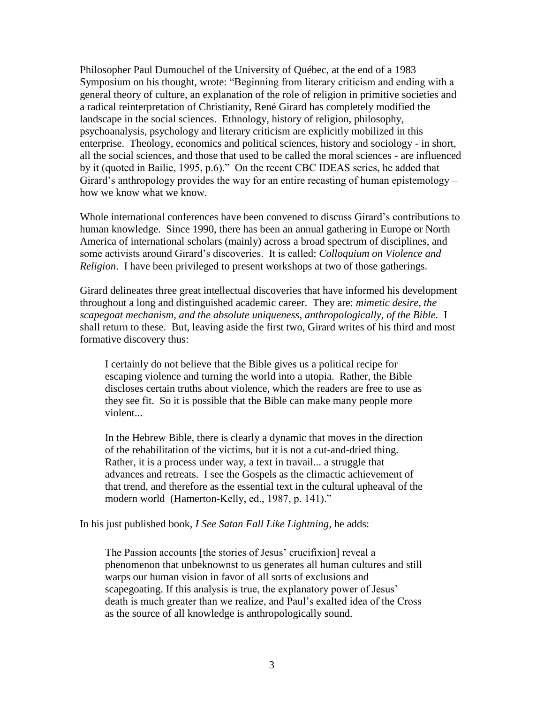Philosopher Paul Dumouchel of the University of Québec, at the end of a 1983 Symposium on his thought, wrote: "Beginning from literary criticism and ending with a general theory of culture, an explanation of the role of religion in primitive societies and a radical reinterpretation of Christianity, René Girard has completely modified the landscape in the social sciences. Ethnology, history of religion, philosophy, psychoanalysis, psychology and literary criticism are explicitly mobilized in this enterprise. Theology, economics and political sciences, history and sociology - in short, all the social sciences, and those that used to be called the moral sciences - are influenced by it (quoted in Bailie, 1995, p.6)." On the recent CBC IDEAS series, he added that Girard's anthropology provides the way for an entire recasting of human epistemology – how we know what we know.

Whole international conferences have been convened to discuss Girard's contributions to human knowledge. Since 1990, there has been an annual gathering in Europe or North America of international scholars (mainly) across a broad spectrum of disciplines, and some activists around Girard's discoveries. It is called: *Colloquium on Violence and Religion*. I have been privileged to present workshops at two of those gatherings.

Girard delineates three great intellectual discoveries that have informed his development throughout a long and distinguished academic career. They are: *mimetic desire, the scapegoat mechanism, and the absolute uniqueness, anthropologically, of the Bible.* I shall return to these. But, leaving aside the first two, Girard writes of his third and most formative discovery thus:

I certainly do not believe that the Bible gives us a political recipe for escaping violence and turning the world into a utopia. Rather, the Bible discloses certain truths about violence, which the readers are free to use as they see fit. So it is possible that the Bible can make many people more violent...

In the Hebrew Bible, there is clearly a dynamic that moves in the direction of the rehabilitation of the victims, but it is not a cut-and-dried thing. Rather, it is a process under way, a text in travail... a struggle that advances and retreats. I see the Gospels as the climactic achievement of that trend, and therefore as the essential text in the cultural upheaval of the modern world (Hamerton-Kelly, ed., 1987, p. 141)."

In his just published book, *I See Satan Fall Like Lightning*, he adds:

The Passion accounts [the stories of Jesus' crucifixion] reveal a phenomenon that unbeknownst to us generates all human cultures and still warps our human vision in favor of all sorts of exclusions and scapegoating. If this analysis is true, the explanatory power of Jesus' death is much greater than we realize, and Paul's exalted idea of the Cross as the source of all knowledge is anthropologically sound.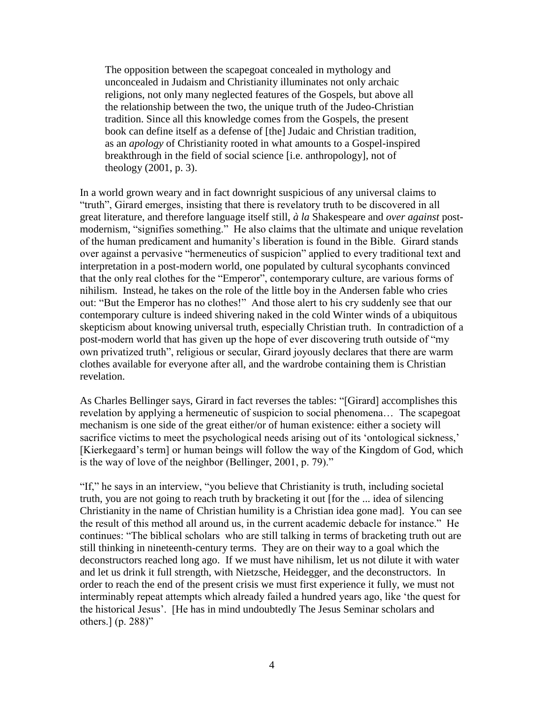The opposition between the scapegoat concealed in mythology and unconcealed in Judaism and Christianity illuminates not only archaic religions, not only many neglected features of the Gospels, but above all the relationship between the two, the unique truth of the Judeo-Christian tradition. Since all this knowledge comes from the Gospels, the present book can define itself as a defense of [the] Judaic and Christian tradition, as an *apology* of Christianity rooted in what amounts to a Gospel-inspired breakthrough in the field of social science [i.e. anthropology], not of theology (2001, p. 3).

In a world grown weary and in fact downright suspicious of any universal claims to "truth", Girard emerges, insisting that there is revelatory truth to be discovered in all great literature, and therefore language itself still, *à la* Shakespeare and *over against* postmodernism, "signifies something." He also claims that the ultimate and unique revelation of the human predicament and humanity's liberation is found in the Bible. Girard stands over against a pervasive "hermeneutics of suspicion" applied to every traditional text and interpretation in a post-modern world, one populated by cultural sycophants convinced that the only real clothes for the "Emperor", contemporary culture, are various forms of nihilism. Instead, he takes on the role of the little boy in the Andersen fable who cries out: "But the Emperor has no clothes!" And those alert to his cry suddenly see that our contemporary culture is indeed shivering naked in the cold Winter winds of a ubiquitous skepticism about knowing universal truth, especially Christian truth. In contradiction of a post-modern world that has given up the hope of ever discovering truth outside of "my own privatized truth", religious or secular, Girard joyously declares that there are warm clothes available for everyone after all, and the wardrobe containing them is Christian revelation.

As Charles Bellinger says, Girard in fact reverses the tables: "[Girard] accomplishes this revelation by applying a hermeneutic of suspicion to social phenomena… The scapegoat mechanism is one side of the great either/or of human existence: either a society will sacrifice victims to meet the psychological needs arising out of its 'ontological sickness,' [Kierkegaard's term] or human beings will follow the way of the Kingdom of God, which is the way of love of the neighbor (Bellinger, 2001, p. 79)."

"If," he says in an interview, "you believe that Christianity is truth, including societal truth, you are not going to reach truth by bracketing it out [for the ... idea of silencing Christianity in the name of Christian humility is a Christian idea gone mad]. You can see the result of this method all around us, in the current academic debacle for instance." He continues: "The biblical scholars who are still talking in terms of bracketing truth out are still thinking in nineteenth-century terms. They are on their way to a goal which the deconstructors reached long ago. If we must have nihilism, let us not dilute it with water and let us drink it full strength, with Nietzsche, Heidegger, and the deconstructors. In order to reach the end of the present crisis we must first experience it fully, we must not interminably repeat attempts which already failed a hundred years ago, like 'the quest for the historical Jesus'. [He has in mind undoubtedly The Jesus Seminar scholars and others.] (p. 288)"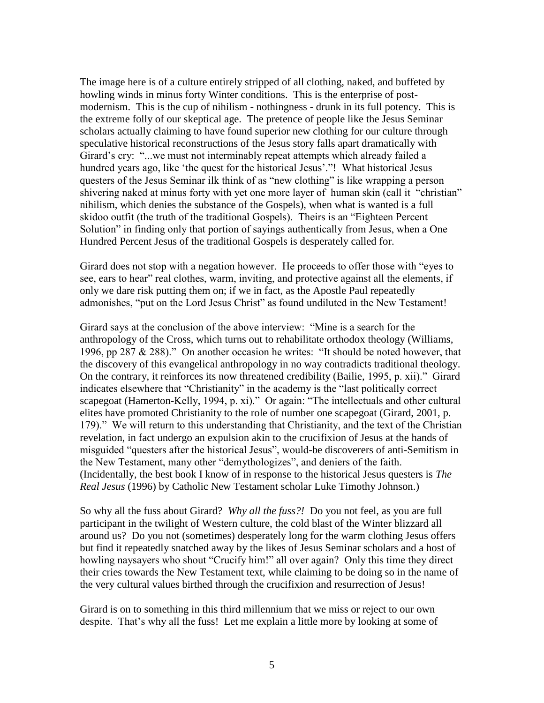The image here is of a culture entirely stripped of all clothing, naked, and buffeted by howling winds in minus forty Winter conditions. This is the enterprise of postmodernism. This is the cup of nihilism - nothingness - drunk in its full potency. This is the extreme folly of our skeptical age. The pretence of people like the Jesus Seminar scholars actually claiming to have found superior new clothing for our culture through speculative historical reconstructions of the Jesus story falls apart dramatically with Girard's cry: "...we must not interminably repeat attempts which already failed a hundred years ago, like 'the quest for the historical Jesus'."! What historical Jesus questers of the Jesus Seminar ilk think of as "new clothing" is like wrapping a person shivering naked at minus forty with yet one more layer of human skin (call it "christian" nihilism, which denies the substance of the Gospels), when what is wanted is a full skidoo outfit (the truth of the traditional Gospels). Theirs is an "Eighteen Percent Solution" in finding only that portion of sayings authentically from Jesus, when a One Hundred Percent Jesus of the traditional Gospels is desperately called for.

Girard does not stop with a negation however. He proceeds to offer those with "eyes to see, ears to hear" real clothes, warm, inviting, and protective against all the elements, if only we dare risk putting them on; if we in fact, as the Apostle Paul repeatedly admonishes, "put on the Lord Jesus Christ" as found undiluted in the New Testament!

Girard says at the conclusion of the above interview: "Mine is a search for the anthropology of the Cross, which turns out to rehabilitate orthodox theology (Williams, 1996, pp 287 & 288)." On another occasion he writes: "It should be noted however, that the discovery of this evangelical anthropology in no way contradicts traditional theology. On the contrary, it reinforces its now threatened credibility (Bailie, 1995, p. xii)." Girard indicates elsewhere that "Christianity" in the academy is the "last politically correct scapegoat (Hamerton-Kelly, 1994, p. xi)." Or again: "The intellectuals and other cultural elites have promoted Christianity to the role of number one scapegoat (Girard, 2001, p. 179)." We will return to this understanding that Christianity, and the text of the Christian revelation, in fact undergo an expulsion akin to the crucifixion of Jesus at the hands of misguided "questers after the historical Jesus", would-be discoverers of anti-Semitism in the New Testament, many other "demythologizes", and deniers of the faith. (Incidentally, the best book I know of in response to the historical Jesus questers is *The Real Jesus* (1996) by Catholic New Testament scholar Luke Timothy Johnson.)

So why all the fuss about Girard? *Why all the fuss?!* Do you not feel, as you are full participant in the twilight of Western culture, the cold blast of the Winter blizzard all around us? Do you not (sometimes) desperately long for the warm clothing Jesus offers but find it repeatedly snatched away by the likes of Jesus Seminar scholars and a host of howling naysayers who shout "Crucify him!" all over again? Only this time they direct their cries towards the New Testament text, while claiming to be doing so in the name of the very cultural values birthed through the crucifixion and resurrection of Jesus!

Girard is on to something in this third millennium that we miss or reject to our own despite. That's why all the fuss! Let me explain a little more by looking at some of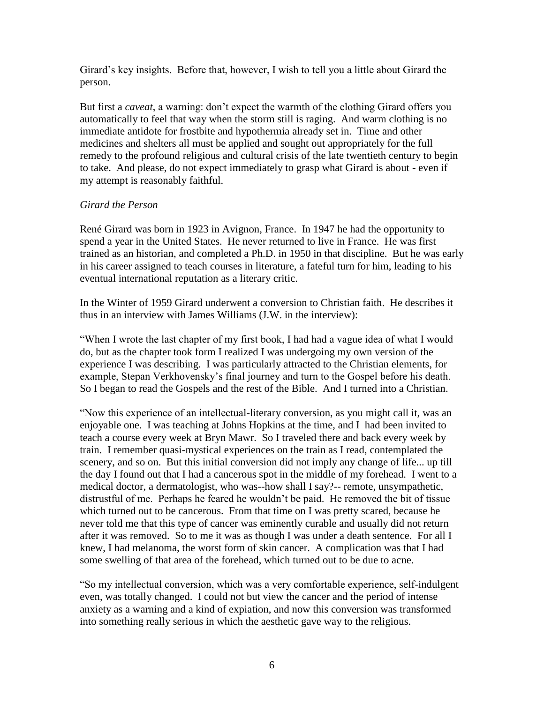Girard's key insights. Before that, however, I wish to tell you a little about Girard the person.

But first a *caveat*, a warning: don't expect the warmth of the clothing Girard offers you automatically to feel that way when the storm still is raging. And warm clothing is no immediate antidote for frostbite and hypothermia already set in. Time and other medicines and shelters all must be applied and sought out appropriately for the full remedy to the profound religious and cultural crisis of the late twentieth century to begin to take. And please, do not expect immediately to grasp what Girard is about - even if my attempt is reasonably faithful.

## *Girard the Person*

René Girard was born in 1923 in Avignon, France. In 1947 he had the opportunity to spend a year in the United States. He never returned to live in France. He was first trained as an historian, and completed a Ph.D. in 1950 in that discipline. But he was early in his career assigned to teach courses in literature, a fateful turn for him, leading to his eventual international reputation as a literary critic*.*

In the Winter of 1959 Girard underwent a conversion to Christian faith. He describes it thus in an interview with James Williams (J.W. in the interview):

"When I wrote the last chapter of my first book, I had had a vague idea of what I would do, but as the chapter took form I realized I was undergoing my own version of the experience I was describing. I was particularly attracted to the Christian elements, for example, Stepan Verkhovensky's final journey and turn to the Gospel before his death. So I began to read the Gospels and the rest of the Bible. And I turned into a Christian.

"Now this experience of an intellectual-literary conversion, as you might call it, was an enjoyable one. I was teaching at Johns Hopkins at the time, and I had been invited to teach a course every week at Bryn Mawr. So I traveled there and back every week by train. I remember quasi-mystical experiences on the train as I read, contemplated the scenery, and so on. But this initial conversion did not imply any change of life... up till the day I found out that I had a cancerous spot in the middle of my forehead. I went to a medical doctor, a dermatologist, who was--how shall I say?-- remote, unsympathetic, distrustful of me. Perhaps he feared he wouldn't be paid. He removed the bit of tissue which turned out to be cancerous. From that time on I was pretty scared, because he never told me that this type of cancer was eminently curable and usually did not return after it was removed. So to me it was as though I was under a death sentence. For all I knew, I had melanoma, the worst form of skin cancer. A complication was that I had some swelling of that area of the forehead, which turned out to be due to acne.

"So my intellectual conversion, which was a very comfortable experience, self-indulgent even, was totally changed. I could not but view the cancer and the period of intense anxiety as a warning and a kind of expiation, and now this conversion was transformed into something really serious in which the aesthetic gave way to the religious.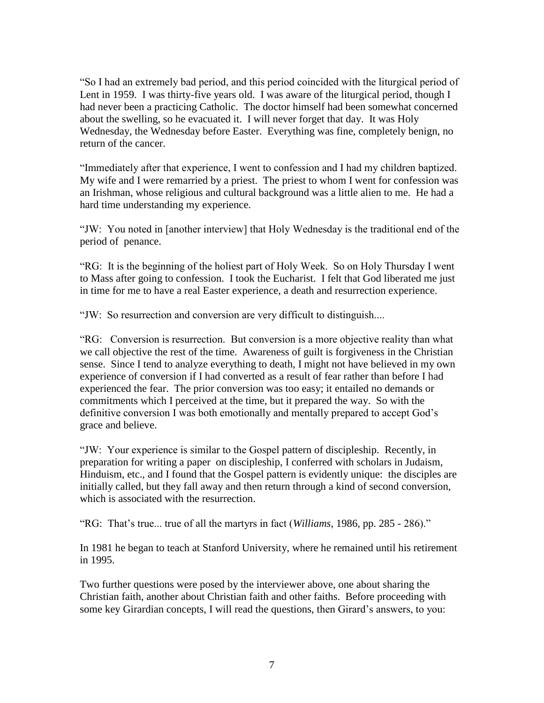"So I had an extremely bad period, and this period coincided with the liturgical period of Lent in 1959. I was thirty-five years old. I was aware of the liturgical period, though I had never been a practicing Catholic. The doctor himself had been somewhat concerned about the swelling, so he evacuated it. I will never forget that day. It was Holy Wednesday, the Wednesday before Easter. Everything was fine, completely benign, no return of the cancer.

"Immediately after that experience, I went to confession and I had my children baptized. My wife and I were remarried by a priest. The priest to whom I went for confession was an Irishman, whose religious and cultural background was a little alien to me. He had a hard time understanding my experience.

"JW: You noted in [another interview] that Holy Wednesday is the traditional end of the period of penance.

"RG: It is the beginning of the holiest part of Holy Week. So on Holy Thursday I went to Mass after going to confession. I took the Eucharist. I felt that God liberated me just in time for me to have a real Easter experience, a death and resurrection experience.

"JW: So resurrection and conversion are very difficult to distinguish....

"RG: Conversion is resurrection. But conversion is a more objective reality than what we call objective the rest of the time. Awareness of guilt is forgiveness in the Christian sense. Since I tend to analyze everything to death, I might not have believed in my own experience of conversion if I had converted as a result of fear rather than before I had experienced the fear. The prior conversion was too easy; it entailed no demands or commitments which I perceived at the time, but it prepared the way. So with the definitive conversion I was both emotionally and mentally prepared to accept God's grace and believe.

"JW: Your experience is similar to the Gospel pattern of discipleship. Recently, in preparation for writing a paper on discipleship, I conferred with scholars in Judaism, Hinduism, etc., and I found that the Gospel pattern is evidently unique: the disciples are initially called, but they fall away and then return through a kind of second conversion, which is associated with the resurrection.

"RG: That's true... true of all the martyrs in fact (*Williams*, 1986, pp. 285 - 286)."

In 1981 he began to teach at Stanford University, where he remained until his retirement in 1995.

Two further questions were posed by the interviewer above, one about sharing the Christian faith, another about Christian faith and other faiths. Before proceeding with some key Girardian concepts, I will read the questions, then Girard's answers, to you: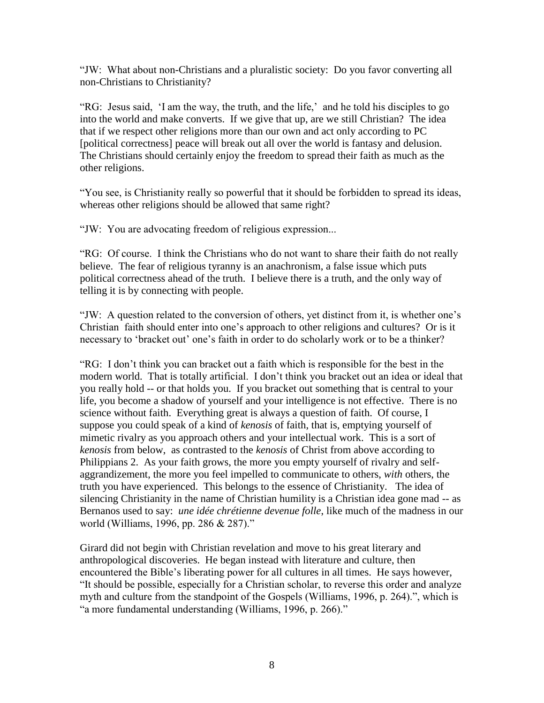"JW: What about non-Christians and a pluralistic society: Do you favor converting all non-Christians to Christianity?

"RG: Jesus said, 'I am the way, the truth, and the life,' and he told his disciples to go into the world and make converts. If we give that up, are we still Christian? The idea that if we respect other religions more than our own and act only according to PC [political correctness] peace will break out all over the world is fantasy and delusion. The Christians should certainly enjoy the freedom to spread their faith as much as the other religions.

"You see, is Christianity really so powerful that it should be forbidden to spread its ideas, whereas other religions should be allowed that same right?

"JW: You are advocating freedom of religious expression...

"RG: Of course. I think the Christians who do not want to share their faith do not really believe. The fear of religious tyranny is an anachronism, a false issue which puts political correctness ahead of the truth. I believe there is a truth, and the only way of telling it is by connecting with people.

"JW: A question related to the conversion of others, yet distinct from it, is whether one's Christian faith should enter into one's approach to other religions and cultures? Or is it necessary to 'bracket out' one's faith in order to do scholarly work or to be a thinker?

"RG: I don't think you can bracket out a faith which is responsible for the best in the modern world. That is totally artificial. I don't think you bracket out an idea or ideal that you really hold -- or that holds you. If you bracket out something that is central to your life, you become a shadow of yourself and your intelligence is not effective. There is no science without faith. Everything great is always a question of faith. Of course, I suppose you could speak of a kind of *kenosis* of faith, that is, emptying yourself of mimetic rivalry as you approach others and your intellectual work. This is a sort of *kenosis* from below, as contrasted to the *kenosis* of Christ from above according to Philippians 2. As your faith grows, the more you empty yourself of rivalry and selfaggrandizement, the more you feel impelled to communicate to others, *with* others, the truth you have experienced. This belongs to the essence of Christianity. The idea of silencing Christianity in the name of Christian humility is a Christian idea gone mad -- as Bernanos used to say: *une idée chrétienne devenue folle*, like much of the madness in our world (Williams, 1996, pp. 286 & 287)."

Girard did not begin with Christian revelation and move to his great literary and anthropological discoveries. He began instead with literature and culture, then encountered the Bible's liberating power for all cultures in all times. He says however, "It should be possible, especially for a Christian scholar, to reverse this order and analyze myth and culture from the standpoint of the Gospels (Williams, 1996, p. 264).", which is "a more fundamental understanding (Williams, 1996, p. 266)."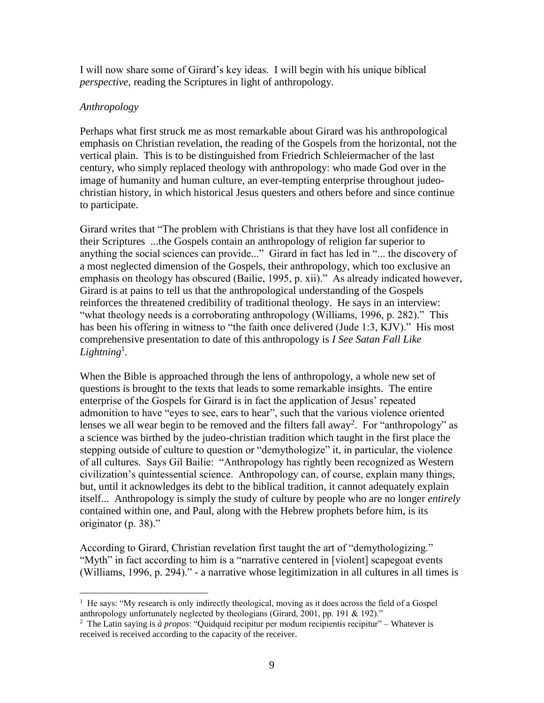I will now share some of Girard's key ideas. I will begin with his unique biblical *perspective*, reading the Scriptures in light of anthropology.

# *Anthropology*

 $\overline{a}$ 

Perhaps what first struck me as most remarkable about Girard was his anthropological emphasis on Christian revelation, the reading of the Gospels from the horizontal, not the vertical plain. This is to be distinguished from Friedrich Schleiermacher of the last century, who simply replaced theology with anthropology: who made God over in the image of humanity and human culture, an ever-tempting enterprise throughout judeochristian history, in which historical Jesus questers and others before and since continue to participate.

Girard writes that "The problem with Christians is that they have lost all confidence in their Scriptures ...the Gospels contain an anthropology of religion far superior to anything the social sciences can provide..." Girard in fact has led in "... the discovery of a most neglected dimension of the Gospels, their anthropology, which too exclusive an emphasis on theology has obscured (Bailie, 1995, p. xii)." As already indicated however, Girard is at pains to tell us that the anthropological understanding of the Gospels reinforces the threatened credibility of traditional theology. He says in an interview: "what theology needs is a corroborating anthropology (Williams, 1996, p. 282)." This has been his offering in witness to "the faith once delivered (Jude 1:3, KJV)." His most comprehensive presentation to date of this anthropology is *I See Satan Fall Like Lightning*<sup>1</sup> *.*

When the Bible is approached through the lens of anthropology, a whole new set of questions is brought to the texts that leads to some remarkable insights. The entire enterprise of the Gospels for Girard is in fact the application of Jesus' repeated admonition to have "eyes to see, ears to hear", such that the various violence oriented lenses we all wear begin to be removed and the filters fall away<sup>2</sup>. For "anthropology" as a science was birthed by the judeo-christian tradition which taught in the first place the stepping outside of culture to question or "demythologize" it, in particular, the violence of all cultures. Says Gil Bailie: "Anthropology has rightly been recognized as Western civilization's quintessential science. Anthropology can, of course, explain many things, but, until it acknowledges its debt to the biblical tradition, it cannot adequately explain itself... Anthropology is simply the study of culture by people who are no longer *entirely*  contained within one, and Paul, along with the Hebrew prophets before him, is its originator (p. 38)."

According to Girard, Christian revelation first taught the art of "demythologizing." "Myth" in fact according to him is a "narrative centered in [violent] scapegoat events (Williams, 1996, p. 294)." - a narrative whose legitimization in all cultures in all times is

<sup>&</sup>lt;sup>1</sup> He says: "My research is only indirectly theological, moving as it does across the field of a Gospel anthropology unfortunately neglected by theologians (Girard, 2001, pp. 191 & 192)."

<sup>2</sup> The Latin saying is *à propos*: "Quidquid recipitur per modum recipientis recipitur" – Whatever is received is received according to the capacity of the receiver.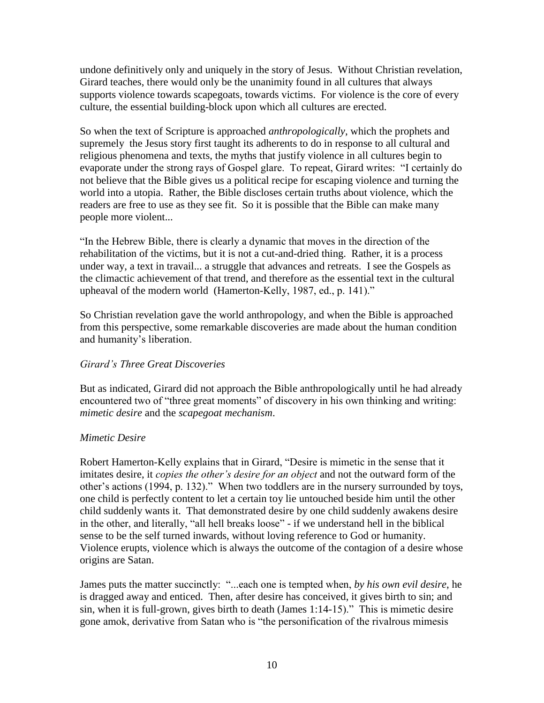undone definitively only and uniquely in the story of Jesus. Without Christian revelation, Girard teaches, there would only be the unanimity found in all cultures that always supports violence towards scapegoats, towards victims. For violence is the core of every culture, the essential building-block upon which all cultures are erected.

So when the text of Scripture is approached *anthropologically*, which the prophets and supremely the Jesus story first taught its adherents to do in response to all cultural and religious phenomena and texts, the myths that justify violence in all cultures begin to evaporate under the strong rays of Gospel glare. To repeat, Girard writes: "I certainly do not believe that the Bible gives us a political recipe for escaping violence and turning the world into a utopia. Rather, the Bible discloses certain truths about violence, which the readers are free to use as they see fit. So it is possible that the Bible can make many people more violent...

"In the Hebrew Bible, there is clearly a dynamic that moves in the direction of the rehabilitation of the victims, but it is not a cut-and-dried thing. Rather, it is a process under way, a text in travail... a struggle that advances and retreats. I see the Gospels as the climactic achievement of that trend, and therefore as the essential text in the cultural upheaval of the modern world (Hamerton-Kelly, 1987, ed., p. 141)."

So Christian revelation gave the world anthropology, and when the Bible is approached from this perspective, some remarkable discoveries are made about the human condition and humanity's liberation.

# *Girard's Three Great Discoveries*

But as indicated, Girard did not approach the Bible anthropologically until he had already encountered two of "three great moments" of discovery in his own thinking and writing: *mimetic desire* and the *scapegoat mechanism*.

# *Mimetic Desire*

Robert Hamerton-Kelly explains that in Girard, "Desire is mimetic in the sense that it imitates desire, it *copies the other's desire for an object* and not the outward form of the other's actions (1994, p. 132)." When two toddlers are in the nursery surrounded by toys, one child is perfectly content to let a certain toy lie untouched beside him until the other child suddenly wants it. That demonstrated desire by one child suddenly awakens desire in the other, and literally, "all hell breaks loose" - if we understand hell in the biblical sense to be the self turned inwards, without loving reference to God or humanity. Violence erupts, violence which is always the outcome of the contagion of a desire whose origins are Satan.

James puts the matter succinctly: "...each one is tempted when, *by his own evil desire*, he is dragged away and enticed. Then, after desire has conceived, it gives birth to sin; and sin, when it is full-grown, gives birth to death (James 1:14-15)." This is mimetic desire gone amok, derivative from Satan who is "the personification of the rivalrous mimesis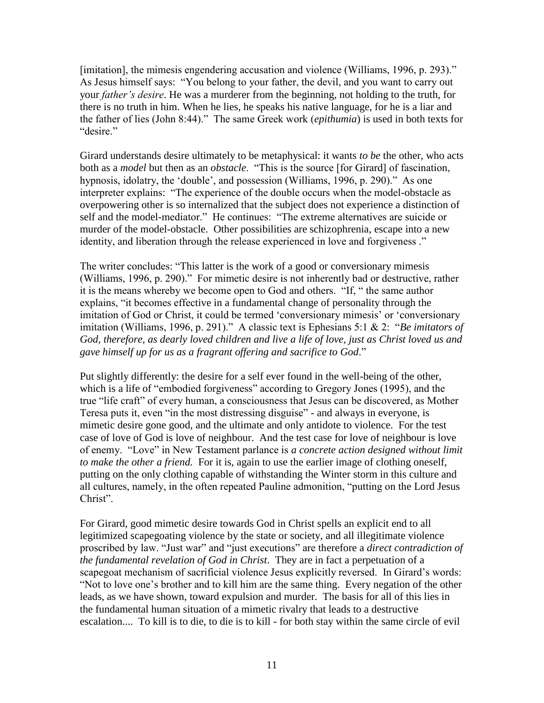[imitation], the mimesis engendering accusation and violence (Williams, 1996, p. 293)." As Jesus himself says: "You belong to your father, the devil, and you want to carry out your *father's desire*. He was a murderer from the beginning, not holding to the truth, for there is no truth in him. When he lies, he speaks his native language, for he is a liar and the father of lies (John 8:44)." The same Greek work (*epithumia*) is used in both texts for "desire."

Girard understands desire ultimately to be metaphysical: it wants *to be* the other, who acts both as a *model* but then as an *obstacle*. "This is the source [for Girard] of fascination, hypnosis, idolatry, the 'double', and possession (Williams, 1996, p. 290)." As one interpreter explains: "The experience of the double occurs when the model-obstacle as overpowering other is so internalized that the subject does not experience a distinction of self and the model-mediator." He continues: "The extreme alternatives are suicide or murder of the model-obstacle. Other possibilities are schizophrenia, escape into a new identity, and liberation through the release experienced in love and forgiveness ."

The writer concludes: "This latter is the work of a good or conversionary mimesis (Williams, 1996, p. 290)." For mimetic desire is not inherently bad or destructive, rather it is the means whereby we become open to God and others. "If, " the same author explains, "it becomes effective in a fundamental change of personality through the imitation of God or Christ, it could be termed 'conversionary mimesis' or 'conversionary imitation (Williams, 1996, p. 291)." A classic text is Ephesians 5:1 & 2: "*Be imitators of God, therefore, as dearly loved children and live a life of love, just as Christ loved us and gave himself up for us as a fragrant offering and sacrifice to God*."

Put slightly differently: the desire for a self ever found in the well-being of the other, which is a life of "embodied forgiveness" according to Gregory Jones (1995), and the true "life craft" of every human, a consciousness that Jesus can be discovered, as Mother Teresa puts it, even "in the most distressing disguise" - and always in everyone, is mimetic desire gone good, and the ultimate and only antidote to violence. For the test case of love of God is love of neighbour. And the test case for love of neighbour is love of enemy. "Love" in New Testament parlance is *a concrete action designed without limit to make the other a friend.* For it is, again to use the earlier image of clothing oneself, putting on the only clothing capable of withstanding the Winter storm in this culture and all cultures, namely, in the often repeated Pauline admonition, "putting on the Lord Jesus Christ".

For Girard, good mimetic desire towards God in Christ spells an explicit end to all legitimized scapegoating violence by the state or society, and all illegitimate violence proscribed by law. "Just war" and "just executions" are therefore a *direct contradiction of the fundamental revelation of God in Christ*. They are in fact a perpetuation of a scapegoat mechanism of sacrificial violence Jesus explicitly reversed. In Girard's words: "Not to love one's brother and to kill him are the same thing. Every negation of the other leads, as we have shown, toward expulsion and murder. The basis for all of this lies in the fundamental human situation of a mimetic rivalry that leads to a destructive escalation.... To kill is to die, to die is to kill - for both stay within the same circle of evil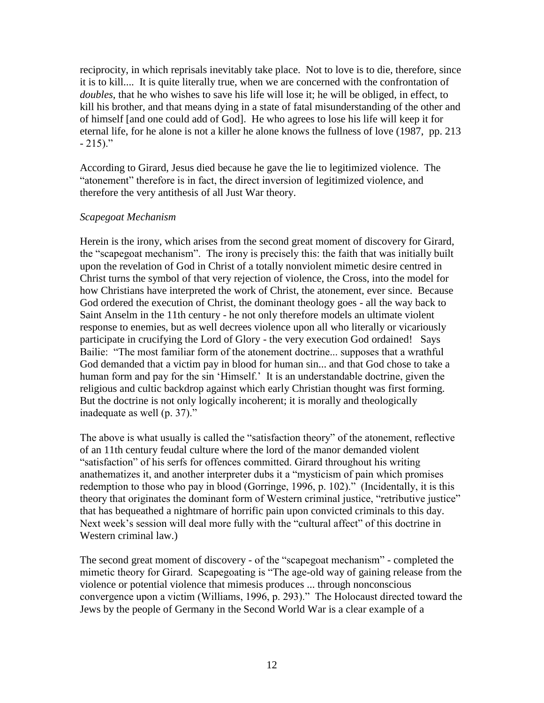reciprocity, in which reprisals inevitably take place. Not to love is to die, therefore, since it is to kill.... It is quite literally true, when we are concerned with the confrontation of *doubles*, that he who wishes to save his life will lose it; he will be obliged, in effect, to kill his brother, and that means dying in a state of fatal misunderstanding of the other and of himself [and one could add of God]. He who agrees to lose his life will keep it for eternal life, for he alone is not a killer he alone knows the fullness of love (1987, pp. 213  $-215$ )."

According to Girard, Jesus died because he gave the lie to legitimized violence. The "atonement" therefore is in fact, the direct inversion of legitimized violence, and therefore the very antithesis of all Just War theory.

## *Scapegoat Mechanism*

Herein is the irony, which arises from the second great moment of discovery for Girard, the "scapegoat mechanism". The irony is precisely this: the faith that was initially built upon the revelation of God in Christ of a totally nonviolent mimetic desire centred in Christ turns the symbol of that very rejection of violence, the Cross, into the model for how Christians have interpreted the work of Christ, the atonement, ever since. Because God ordered the execution of Christ, the dominant theology goes - all the way back to Saint Anselm in the 11th century - he not only therefore models an ultimate violent response to enemies, but as well decrees violence upon all who literally or vicariously participate in crucifying the Lord of Glory - the very execution God ordained! Says Bailie: "The most familiar form of the atonement doctrine... supposes that a wrathful God demanded that a victim pay in blood for human sin... and that God chose to take a human form and pay for the sin 'Himself.' It is an understandable doctrine, given the religious and cultic backdrop against which early Christian thought was first forming. But the doctrine is not only logically incoherent; it is morally and theologically inadequate as well (p. 37)."

The above is what usually is called the "satisfaction theory" of the atonement, reflective of an 11th century feudal culture where the lord of the manor demanded violent "satisfaction" of his serfs for offences committed. Girard throughout his writing anathematizes it, and another interpreter dubs it a "mysticism of pain which promises redemption to those who pay in blood (Gorringe, 1996, p. 102)." (Incidentally, it is this theory that originates the dominant form of Western criminal justice, "retributive justice" that has bequeathed a nightmare of horrific pain upon convicted criminals to this day. Next week's session will deal more fully with the "cultural affect" of this doctrine in Western criminal law.)

The second great moment of discovery - of the "scapegoat mechanism" - completed the mimetic theory for Girard. Scapegoating is "The age-old way of gaining release from the violence or potential violence that mimesis produces ... through nonconscious convergence upon a victim (Williams, 1996, p. 293)." The Holocaust directed toward the Jews by the people of Germany in the Second World War is a clear example of a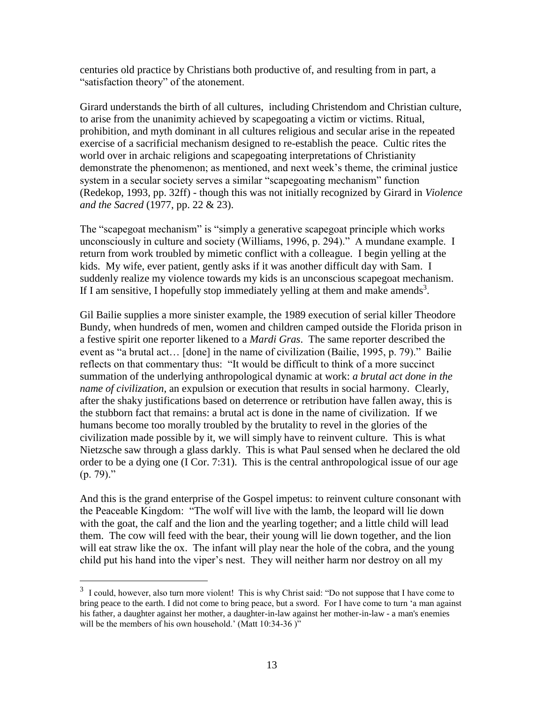centuries old practice by Christians both productive of, and resulting from in part, a "satisfaction theory" of the atonement.

Girard understands the birth of all cultures, including Christendom and Christian culture, to arise from the unanimity achieved by scapegoating a victim or victims. Ritual, prohibition, and myth dominant in all cultures religious and secular arise in the repeated exercise of a sacrificial mechanism designed to re-establish the peace. Cultic rites the world over in archaic religions and scapegoating interpretations of Christianity demonstrate the phenomenon; as mentioned, and next week's theme, the criminal justice system in a secular society serves a similar "scapegoating mechanism" function (Redekop, 1993, pp. 32ff) - though this was not initially recognized by Girard in *Violence and the Sacred* (1977, pp. 22 & 23).

The "scapegoat mechanism" is "simply a generative scapegoat principle which works unconsciously in culture and society (Williams, 1996, p. 294)." A mundane example. I return from work troubled by mimetic conflict with a colleague. I begin yelling at the kids. My wife, ever patient, gently asks if it was another difficult day with Sam. I suddenly realize my violence towards my kids is an unconscious scapegoat mechanism. If I am sensitive, I hopefully stop immediately yelling at them and make amends<sup>3</sup>.

Gil Bailie supplies a more sinister example, the 1989 execution of serial killer Theodore Bundy, when hundreds of men, women and children camped outside the Florida prison in a festive spirit one reporter likened to a *Mardi Gras*. The same reporter described the event as "a brutal act… [done] in the name of civilization (Bailie, 1995, p. 79)." Bailie reflects on that commentary thus: "It would be difficult to think of a more succinct summation of the underlying anthropological dynamic at work: *a brutal act done in the name of civilization*, an expulsion or execution that results in social harmony. Clearly, after the shaky justifications based on deterrence or retribution have fallen away, this is the stubborn fact that remains: a brutal act is done in the name of civilization. If we humans become too morally troubled by the brutality to revel in the glories of the civilization made possible by it, we will simply have to reinvent culture. This is what Nietzsche saw through a glass darkly. This is what Paul sensed when he declared the old order to be a dying one (I Cor. 7:31). This is the central anthropological issue of our age  $(p. 79)$ ."

And this is the grand enterprise of the Gospel impetus: to reinvent culture consonant with the Peaceable Kingdom: "The wolf will live with the lamb, the leopard will lie down with the goat, the calf and the lion and the yearling together; and a little child will lead them. The cow will feed with the bear, their young will lie down together, and the lion will eat straw like the ox. The infant will play near the hole of the cobra, and the young child put his hand into the viper's nest. They will neither harm nor destroy on all my

 $\overline{a}$ 

 $3\,$  I could, however, also turn more violent! This is why Christ said: "Do not suppose that I have come to bring peace to the earth. I did not come to bring peace, but a sword. For I have come to turn 'a man against his father, a daughter against her mother, a daughter-in-law against her mother-in-law - a man's enemies will be the members of his own household.' (Matt 10:34-36)"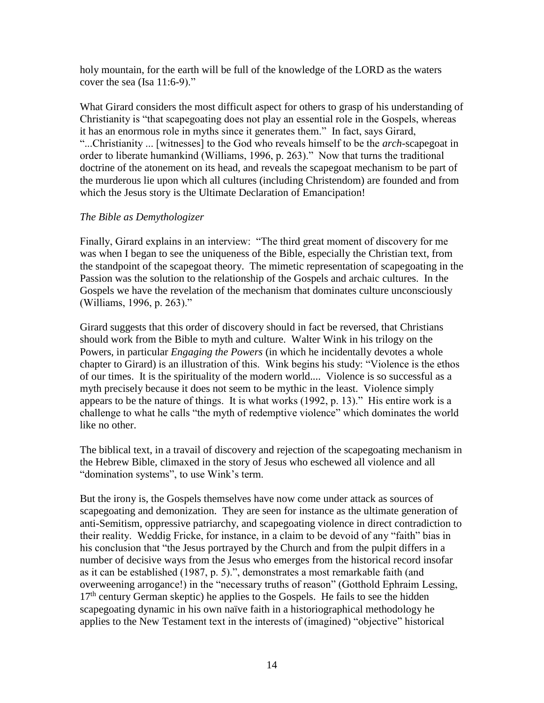holy mountain, for the earth will be full of the knowledge of the LORD as the waters cover the sea (Isa 11:6-9)."

What Girard considers the most difficult aspect for others to grasp of his understanding of Christianity is "that scapegoating does not play an essential role in the Gospels, whereas it has an enormous role in myths since it generates them." In fact, says Girard, "...Christianity ... [witnesses] to the God who reveals himself to be the *arch*-scapegoat in order to liberate humankind (Williams, 1996, p. 263)." Now that turns the traditional doctrine of the atonement on its head, and reveals the scapegoat mechanism to be part of the murderous lie upon which all cultures (including Christendom) are founded and from which the Jesus story is the Ultimate Declaration of Emancipation!

## *The Bible as Demythologizer*

Finally, Girard explains in an interview: "The third great moment of discovery for me was when I began to see the uniqueness of the Bible, especially the Christian text, from the standpoint of the scapegoat theory. The mimetic representation of scapegoating in the Passion was the solution to the relationship of the Gospels and archaic cultures. In the Gospels we have the revelation of the mechanism that dominates culture unconsciously (Williams, 1996, p. 263)."

Girard suggests that this order of discovery should in fact be reversed, that Christians should work from the Bible to myth and culture. Walter Wink in his trilogy on the Powers, in particular *Engaging the Powers* (in which he incidentally devotes a whole chapter to Girard) is an illustration of this. Wink begins his study: "Violence is the ethos of our times. It is the spirituality of the modern world.... Violence is so successful as a myth precisely because it does not seem to be mythic in the least. Violence simply appears to be the nature of things. It is what works (1992, p. 13)." His entire work is a challenge to what he calls "the myth of redemptive violence" which dominates the world like no other.

The biblical text, in a travail of discovery and rejection of the scapegoating mechanism in the Hebrew Bible, climaxed in the story of Jesus who eschewed all violence and all "domination systems", to use Wink's term.

But the irony is, the Gospels themselves have now come under attack as sources of scapegoating and demonization. They are seen for instance as the ultimate generation of anti-Semitism, oppressive patriarchy, and scapegoating violence in direct contradiction to their reality. Weddig Fricke, for instance, in a claim to be devoid of any "faith" bias in his conclusion that "the Jesus portrayed by the Church and from the pulpit differs in a number of decisive ways from the Jesus who emerges from the historical record insofar as it can be established (1987, p. 5).", demonstrates a most remarkable faith (and overweening arrogance!) in the "necessary truths of reason" (Gotthold Ephraim Lessing,  $17<sup>th</sup>$  century German skeptic) he applies to the Gospels. He fails to see the hidden scapegoating dynamic in his own naïve faith in a historiographical methodology he applies to the New Testament text in the interests of (imagined) "objective" historical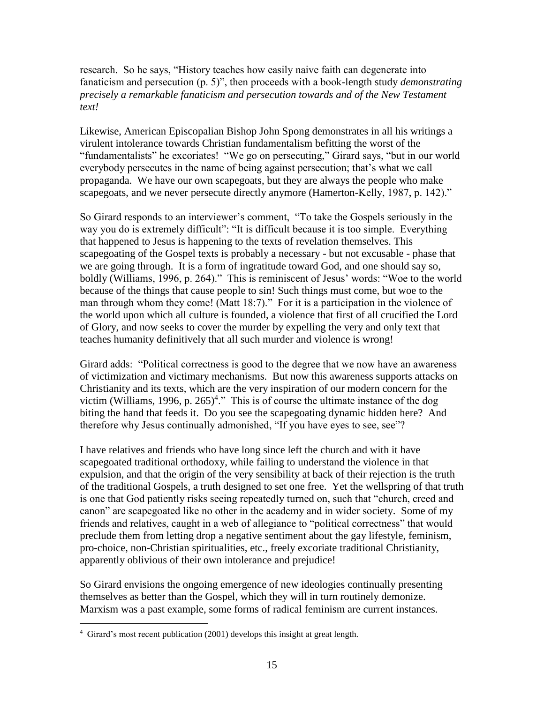research. So he says, "History teaches how easily naive faith can degenerate into fanaticism and persecution (p. 5)", then proceeds with a book-length study *demonstrating precisely a remarkable fanaticism and persecution towards and of the New Testament text!* 

Likewise, American Episcopalian Bishop John Spong demonstrates in all his writings a virulent intolerance towards Christian fundamentalism befitting the worst of the "fundamentalists" he excoriates! "We go on persecuting," Girard says, "but in our world everybody persecutes in the name of being against persecution; that's what we call propaganda. We have our own scapegoats, but they are always the people who make scapegoats, and we never persecute directly anymore (Hamerton-Kelly, 1987, p. 142)."

So Girard responds to an interviewer's comment, "To take the Gospels seriously in the way you do is extremely difficult": "It is difficult because it is too simple. Everything that happened to Jesus is happening to the texts of revelation themselves. This scapegoating of the Gospel texts is probably a necessary - but not excusable - phase that we are going through. It is a form of ingratitude toward God, and one should say so, boldly (Williams, 1996, p. 264)." This is reminiscent of Jesus' words: "Woe to the world because of the things that cause people to sin! Such things must come, but woe to the man through whom they come! (Matt 18:7)." For it is a participation in the violence of the world upon which all culture is founded, a violence that first of all crucified the Lord of Glory, and now seeks to cover the murder by expelling the very and only text that teaches humanity definitively that all such murder and violence is wrong!

Girard adds: "Political correctness is good to the degree that we now have an awareness of victimization and victimary mechanisms. But now this awareness supports attacks on Christianity and its texts, which are the very inspiration of our modern concern for the victim (Williams, 1996, p. 265)<sup>4</sup>." This is of course the ultimate instance of the dog biting the hand that feeds it. Do you see the scapegoating dynamic hidden here? And therefore why Jesus continually admonished, "If you have eyes to see, see"?

I have relatives and friends who have long since left the church and with it have scapegoated traditional orthodoxy, while failing to understand the violence in that expulsion, and that the origin of the very sensibility at back of their rejection is the truth of the traditional Gospels, a truth designed to set one free. Yet the wellspring of that truth is one that God patiently risks seeing repeatedly turned on, such that "church, creed and canon" are scapegoated like no other in the academy and in wider society. Some of my friends and relatives, caught in a web of allegiance to "political correctness" that would preclude them from letting drop a negative sentiment about the gay lifestyle, feminism, pro-choice, non-Christian spiritualities, etc., freely excoriate traditional Christianity, apparently oblivious of their own intolerance and prejudice!

So Girard envisions the ongoing emergence of new ideologies continually presenting themselves as better than the Gospel, which they will in turn routinely demonize. Marxism was a past example, some forms of radical feminism are current instances.

 $\overline{a}$ 

<sup>&</sup>lt;sup>4</sup> Girard's most recent publication (2001) develops this insight at great length.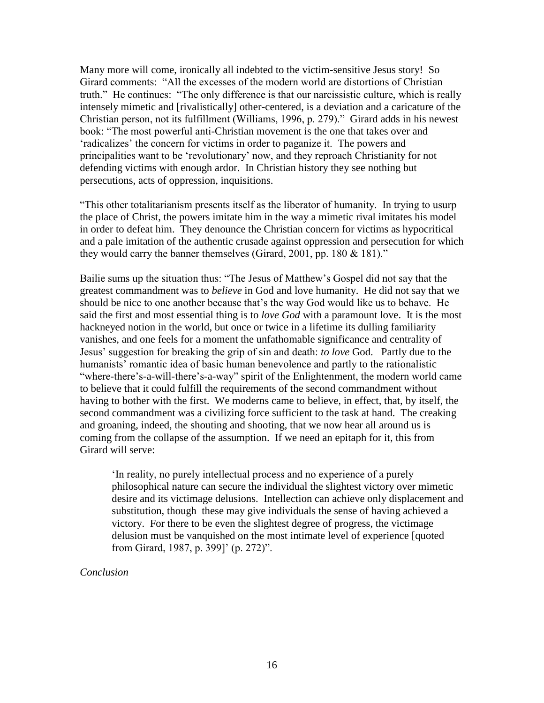Many more will come, ironically all indebted to the victim-sensitive Jesus story! So Girard comments: "All the excesses of the modern world are distortions of Christian truth." He continues: "The only difference is that our narcissistic culture, which is really intensely mimetic and [rivalistically] other-centered, is a deviation and a caricature of the Christian person, not its fulfillment (Williams, 1996, p. 279)." Girard adds in his newest book: "The most powerful anti-Christian movement is the one that takes over and 'radicalizes' the concern for victims in order to paganize it. The powers and principalities want to be 'revolutionary' now, and they reproach Christianity for not defending victims with enough ardor. In Christian history they see nothing but persecutions, acts of oppression, inquisitions.

"This other totalitarianism presents itself as the liberator of humanity. In trying to usurp the place of Christ, the powers imitate him in the way a mimetic rival imitates his model in order to defeat him. They denounce the Christian concern for victims as hypocritical and a pale imitation of the authentic crusade against oppression and persecution for which they would carry the banner themselves (Girard, 2001, pp. 180  $& 181$ )."

Bailie sums up the situation thus: "The Jesus of Matthew's Gospel did not say that the greatest commandment was to *believe* in God and love humanity. He did not say that we should be nice to one another because that's the way God would like us to behave. He said the first and most essential thing is to *love God* with a paramount love. It is the most hackneyed notion in the world, but once or twice in a lifetime its dulling familiarity vanishes, and one feels for a moment the unfathomable significance and centrality of Jesus' suggestion for breaking the grip of sin and death: *to love* God. Partly due to the humanists' romantic idea of basic human benevolence and partly to the rationalistic "where-there's-a-will-there's-a-way" spirit of the Enlightenment, the modern world came to believe that it could fulfill the requirements of the second commandment without having to bother with the first. We moderns came to believe, in effect, that, by itself, the second commandment was a civilizing force sufficient to the task at hand. The creaking and groaning, indeed, the shouting and shooting, that we now hear all around us is coming from the collapse of the assumption. If we need an epitaph for it, this from Girard will serve:

'In reality, no purely intellectual process and no experience of a purely philosophical nature can secure the individual the slightest victory over mimetic desire and its victimage delusions. Intellection can achieve only displacement and substitution, though these may give individuals the sense of having achieved a victory. For there to be even the slightest degree of progress, the victimage delusion must be vanquished on the most intimate level of experience [quoted from Girard, 1987, p. 399]' (p. 272)".

#### *Conclusion*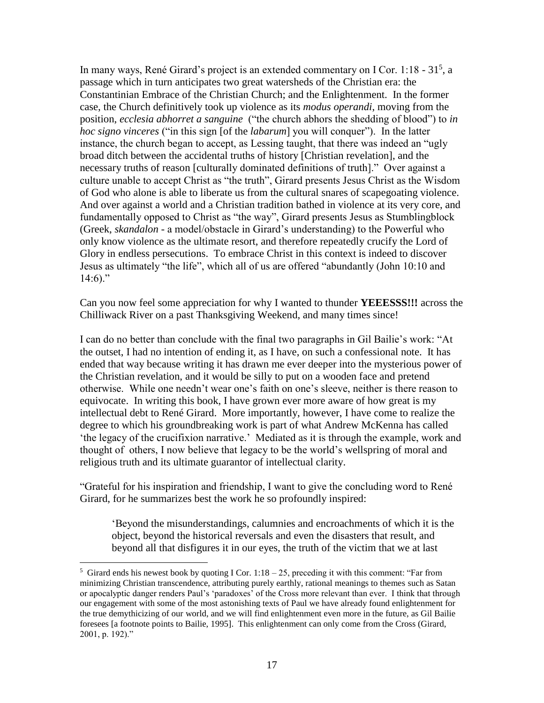In many ways, René Girard's project is an extended commentary on I Cor. 1:18 - 31<sup>5</sup>, a passage which in turn anticipates two great watersheds of the Christian era: the Constantinian Embrace of the Christian Church; and the Enlightenment. In the former case, the Church definitively took up violence as its *modus operandi*, moving from the position, *ecclesia abhorret a sanguine* ("the church abhors the shedding of blood") to *in hoc signo vinceres* ("in this sign [of the *labarum*] you will conquer"). In the latter instance, the church began to accept, as Lessing taught, that there was indeed an "ugly broad ditch between the accidental truths of history [Christian revelation], and the necessary truths of reason [culturally dominated definitions of truth]." Over against a culture unable to accept Christ as "the truth", Girard presents Jesus Christ as the Wisdom of God who alone is able to liberate us from the cultural snares of scapegoating violence. And over against a world and a Christian tradition bathed in violence at its very core, and fundamentally opposed to Christ as "the way", Girard presents Jesus as Stumblingblock (Greek, *skandalon* - a model/obstacle in Girard's understanding) to the Powerful who only know violence as the ultimate resort, and therefore repeatedly crucify the Lord of Glory in endless persecutions. To embrace Christ in this context is indeed to discover Jesus as ultimately "the life", which all of us are offered "abundantly (John 10:10 and  $14:6$ )."

Can you now feel some appreciation for why I wanted to thunder **YEEESSS!!!** across the Chilliwack River on a past Thanksgiving Weekend, and many times since!

I can do no better than conclude with the final two paragraphs in Gil Bailie's work: "At the outset, I had no intention of ending it, as I have, on such a confessional note. It has ended that way because writing it has drawn me ever deeper into the mysterious power of the Christian revelation, and it would be silly to put on a wooden face and pretend otherwise. While one needn't wear one's faith on one's sleeve, neither is there reason to equivocate. In writing this book, I have grown ever more aware of how great is my intellectual debt to René Girard. More importantly, however, I have come to realize the degree to which his groundbreaking work is part of what Andrew McKenna has called 'the legacy of the crucifixion narrative.' Mediated as it is through the example, work and thought of others, I now believe that legacy to be the world's wellspring of moral and religious truth and its ultimate guarantor of intellectual clarity.

"Grateful for his inspiration and friendship, I want to give the concluding word to René Girard, for he summarizes best the work he so profoundly inspired:

'Beyond the misunderstandings, calumnies and encroachments of which it is the object, beyond the historical reversals and even the disasters that result, and beyond all that disfigures it in our eyes, the truth of the victim that we at last

 $\overline{a}$ 

<sup>&</sup>lt;sup>5</sup> Girard ends his newest book by quoting I Cor. 1:18 – 25, preceding it with this comment: "Far from minimizing Christian transcendence, attributing purely earthly, rational meanings to themes such as Satan or apocalyptic danger renders Paul's 'paradoxes' of the Cross more relevant than ever. I think that through our engagement with some of the most astonishing texts of Paul we have already found enlightenment for the true demythicizing of our world, and we will find enlightenment even more in the future, as Gil Bailie foresees [a footnote points to Bailie, 1995]. This enlightenment can only come from the Cross (Girard, 2001, p. 192)."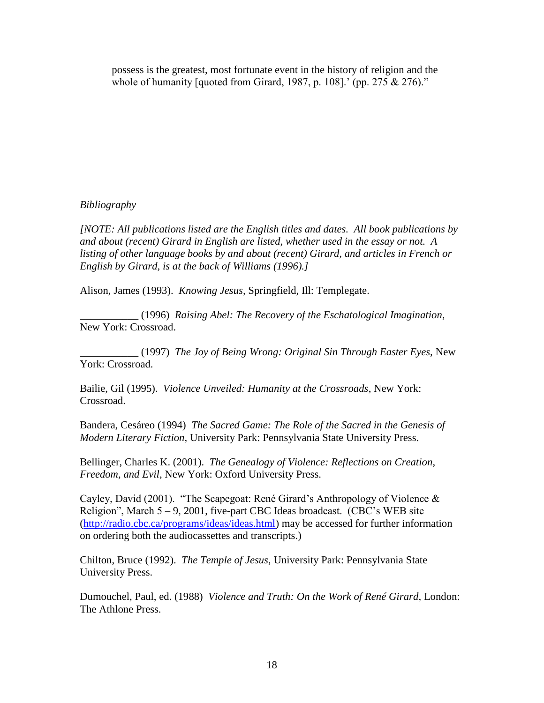possess is the greatest, most fortunate event in the history of religion and the whole of humanity [quoted from Girard, 1987, p. 108].' (pp. 275 & 276)."

# *Bibliography*

*[NOTE: All publications listed are the English titles and dates. All book publications by and about (recent) Girard in English are listed, whether used in the essay or not. A listing of other language books by and about (recent) Girard, and articles in French or English by Girard, is at the back of Williams (1996).]*

Alison, James (1993). *Knowing Jesus,* Springfield, Ill: Templegate.

\_\_\_\_\_\_\_\_\_\_\_ (1996) *Raising Abel: The Recovery of the Eschatological Imagination*, New York: Crossroad.

\_\_\_\_\_\_\_\_\_\_\_ (1997) *The Joy of Being Wrong: Original Sin Through Easter Eyes,* New York: Crossroad.

Bailie, Gil (1995). *Violence Unveiled: Humanity at the Crossroads*, New York: Crossroad.

Bandera, Cesáreo (1994) *The Sacred Game: The Role of the Sacred in the Genesis of Modern Literary Fiction*, University Park: Pennsylvania State University Press.

Bellinger, Charles K. (2001). *The Genealogy of Violence: Reflections on Creation*, *Freedom, and Evil*, New York: Oxford University Press.

Cayley, David (2001). "The Scapegoat: René Girard's Anthropology of Violence & Religion", March  $5 - 9$ , 2001, five-part CBC Ideas broadcast. (CBC's WEB site (http://radio.cbc.ca/programs/ideas/ideas.html) may be accessed for further information on ordering both the audiocassettes and transcripts.)

Chilton, Bruce (1992). *The Temple of Jesus*, University Park: Pennsylvania State University Press.

Dumouchel, Paul, ed. (1988) *Violence and Truth: On the Work of René Girard*, London: The Athlone Press.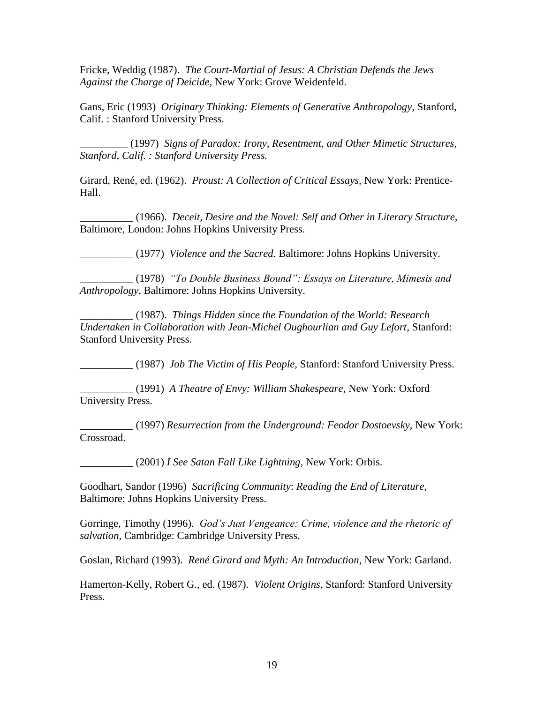Fricke, Weddig (1987). *The Court-Martial of Jesus: A Christian Defends the Jews Against the Charge of Deicide,* New York: Grove Weidenfeld.

Gans, Eric (1993) *Originary Thinking: Elements of Generative Anthropology,* Stanford, Calif. : Stanford University Press.

\_\_\_\_\_\_\_\_\_ (1997) *Signs of Paradox: Irony, Resentment, and Other Mimetic Structures, Stanford, Calif. : Stanford University Press.*

Girard, René, ed. (1962). *Proust: A Collection of Critical Essays,* New York: Prentice-Hall.

\_\_\_\_\_\_\_\_\_\_ (1966). *Deceit, Desire and the Novel: Self and Other in Literary Structure,*  Baltimore, London: Johns Hopkins University Press.

\_\_\_\_\_\_\_\_\_\_ (1977) *Violence and the Sacred.* Baltimore: Johns Hopkins University.

\_\_\_\_\_\_\_\_\_\_ (1978) *"To Double Business Bound": Essays on Literature, Mimesis and Anthropology,* Baltimore: Johns Hopkins University.

\_\_\_\_\_\_\_\_\_\_ (1987). *Things Hidden since the Foundation of the World: Research Undertaken in Collaboration with Jean-Michel Oughourlian and Guy Lefort,* Stanford: Stanford University Press.

\_\_\_\_\_\_\_\_\_\_ (1987) *Job The Victim of His People,* Stanford: Stanford University Press.

\_\_\_\_\_\_\_\_\_\_ (1991) *A Theatre of Envy: William Shakespeare,* New York: Oxford University Press.

\_\_\_\_\_\_\_\_\_\_ (1997) *Resurrection from the Underground: Feodor Dostoevsky,* New York: Crossroad.

\_\_\_\_\_\_\_\_\_\_ (2001) *I See Satan Fall Like Lightning*, New York: Orbis.

Goodhart, Sandor (1996) *Sacrificing Community*: *Reading the End of Literature*, Baltimore: Johns Hopkins University Press.

Gorringe, Timothy (1996). *God's Just Vengeance: Crime, violence and the rhetoric of salvation,* Cambridge: Cambridge University Press.

Goslan, Richard (1993). *René Girard and Myth: An Introduction*, New York: Garland.

Hamerton-Kelly, Robert G., ed. (1987). *Violent Origins*, Stanford: Stanford University Press.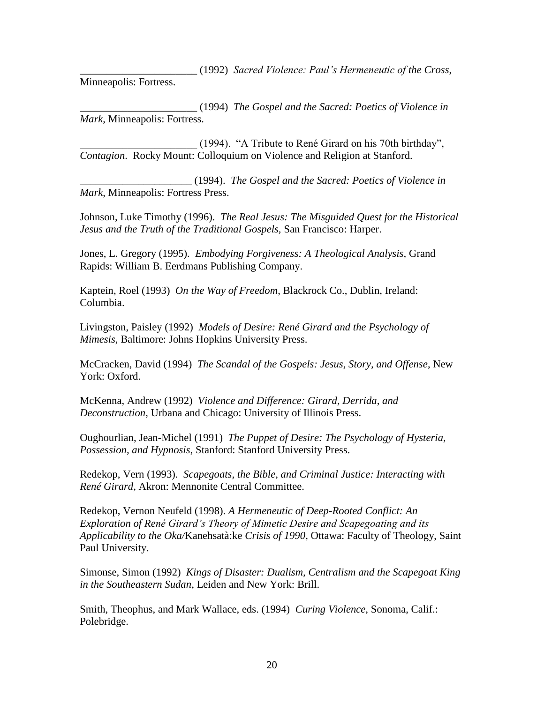\_\_\_\_\_\_\_\_\_\_\_\_\_\_\_\_\_\_\_\_\_\_ (1992) *Sacred Violence: Paul's Hermeneutic of the Cross*, Minneapolis: Fortress.

\_\_\_\_\_\_\_\_\_\_\_\_\_\_\_\_\_\_\_\_\_\_ (1994) *The Gospel and the Sacred: Poetics of Violence in Mark*, Minneapolis: Fortress.

\_\_\_\_\_\_\_\_\_\_\_\_\_\_\_\_\_\_\_\_\_\_ (1994). "A Tribute to René Girard on his 70th birthday", *Contagion*. Rocky Mount: Colloquium on Violence and Religion at Stanford.

\_\_\_\_\_\_\_\_\_\_\_\_\_\_\_\_\_\_\_\_\_ (1994). *The Gospel and the Sacred: Poetics of Violence in Mark*, Minneapolis: Fortress Press.

Johnson, Luke Timothy (1996). *The Real Jesus: The Misguided Quest for the Historical Jesus and the Truth of the Traditional Gospels,* San Francisco: Harper.

Jones, L. Gregory (1995). *Embodying Forgiveness: A Theological Analysis,* Grand Rapids: William B. Eerdmans Publishing Company.

Kaptein, Roel (1993) *On the Way of Freedom*, Blackrock Co., Dublin, Ireland: Columbia.

Livingston, Paisley (1992) *Models of Desire: René Girard and the Psychology of Mimesis*, Baltimore: Johns Hopkins University Press.

McCracken, David (1994) *The Scandal of the Gospels: Jesus, Story, and Offense*, New York: Oxford.

McKenna, Andrew (1992) *Violence and Difference: Girard, Derrida, and Deconstruction*, Urbana and Chicago: University of Illinois Press.

Oughourlian, Jean-Michel (1991) *The Puppet of Desire: The Psychology of Hysteria, Possession, and Hypnosis*, Stanford: Stanford University Press.

Redekop, Vern (1993). *Scapegoats, the Bible, and Criminal Justice: Interacting with René Girard*, Akron: Mennonite Central Committee.

Redekop, Vernon Neufeld (1998). *A Hermeneutic of Deep-Rooted Conflict: An Exploration of René Girard's Theory of Mimetic Desire and Scapegoating and its Applicability to the Oka/*Kanehsatà:ke *Crisis of 1990*, Ottawa: Faculty of Theology, Saint Paul University.

Simonse, Simon (1992) *Kings of Disaster: Dualism, Centralism and the Scapegoat King in the Southeastern Sudan*, Leiden and New York: Brill.

Smith, Theophus, and Mark Wallace, eds. (1994) *Curing Violence*, Sonoma, Calif.: Polebridge.